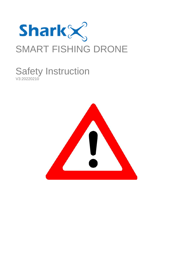

#### Safety Instruction V3:20220210

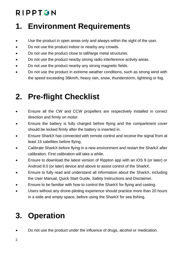#### **1. Environment Requirements**

- Use the product in open areas only and always within the sight of the user.
- Do not use the product indoor or nearby any crowds.
- Do not use the product close to tall/large metal structures.
- Do not use the product nearby strong radio interference activity areas.
- Do not use the product nearby any strong magnetic fields.
- Do not use the product in extreme weather conditions, such as strong wind with the speed exceeding 36km/h, heavy rain, snow, thunderstorm, lightning or fog.

### **2. Pre-flight Checklist**

- Ensure all the CW and CCW propellers are respectively installed in correct direction and firmly on motor.
- Ensure the battery is fully charged before flying and the compartment cover should be locked firmly after the battery is inserted in.
- Ensure SharkX has connected with remote control and receive the signal from at least 15 satellites before flying.
- Calibrate SharkX before flying in a new environment and restart the SharkX after calibration. First calibration will take a while.
- Ensure to download the latest version of Rippton app with an iOS 9 (or later) or Android 8.0 (or later) device and above to assist control of the SharkX.
- Ensure to fully read and understand all information about the SharkX, including the User Manual, Quick Start Guide, Safety Instructions and Disclaimer.
- Ensure to be familiar with how to control the SharkX for flying and casting.
- Users without any drone-piloting experience should practice more than 20 hours in a wide and empty space, before using the SharkX for sea fishing.

# **3. Operation**

• Do not use the product under the influence of drugs, alcohol or medication.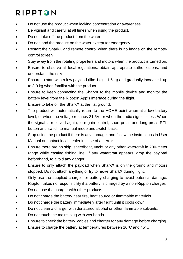- Do not use the product when lacking concentration or awareness.
- Be vigilant and careful at all times when using the product.
- Do not take off the product from the water.
- Do not land the product on the water except for emergency.
- Restart the SharkX and remote control when there is no image on the remotecontrol screen.
- Stay away from the rotating propellers and motors when the product is turned on.
- Ensure to observe all local regulations, obtain appropriate authorizations, and understand the risks.
- **•** Ensure to start with a low payload (like  $1$ kg  $-1.5$ kg) and gradually increase it up to 3.0 kg when familiar with the product.
- Ensure to keep connecting the SharkX to the mobile device and monitor the battery level from the Rippton App's interface during the flight.
- Ensure to take off the SharkX at the flat ground.
- The product will automatically return to the HOME point when at a low battery level, or when the voltage reaches 21.6V, or when the radio signal is lost. When the signal is received again, to regain control, short press and long press RTL button and switch to manual mode and switch back.
- Stop using the product if there is any damage, and follow the instructions in User Manual or contact local dealer in case of an error.
- Ensure there are no ship, speedboat, yacht or any other watercraft in 200-meter range while casting fishing line. If any watercraft appears, drop the payload beforehand, to avoid any danger.
- Ensure to only attach the payload when SharkX is on the ground and motors stopped. Do not attach anything or try to move SharkX during flight.
- Only use the supplied charger for battery charging to avoid potential damage. Rippton takes no responsibility if a battery is charged by a non-Rippton charger.
- Do not use the charger with other products.
- Do not charge the battery near fire, heat source or flammable materials.
- Do not charge the battery immediately after flight until it cools down.
- Do not clean a charger with denatured alcohol or other flammable solvents.
- Do not touch the mains plug with wet hands.
- Ensure to check the battery, cables and charger for any damage before charging.
- Ensure to charge the battery at temperatures between 10°C and 45°C.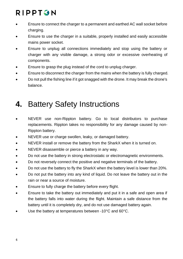- Ensure to connect the charger to a permanent and earthed AC wall socket before charging.
- Ensure to use the charger in a suitable, properly installed and easily accessible mains power socket.
- Ensure to unplug all connections immediately and stop using the battery or charger with any visible damage, a strong odor or excessive overheating of components.
- Ensure to grasp the plug instead of the cord to unplug charger.
- Ensure to disconnect the charger from the mains when the battery is fully charged.
- Do not pull the fishing line if it got snagged with the drone. It may break the drone's balance.

#### **4.** Battery Safety Instructions

- NEVER use non-Rippton battery. Go to local distributors to purchase replacements. Rippton takes no responsibility for any damage caused by non-Rippton battery.
- NEVER use or charge swollen, leaky, or damaged battery.
- NEVER install or remove the battery from the SharkX when it is turned on.
- NEVER disassemble or pierce a battery in any way.
- Do not use the battery in strong electrostatic or electromagnetic environments.
- Do not reversely connect the positive and negative terminals of the battery.
- Do not use the battery to fly the SharkX when the battery level is lower than 20%.
- Do not put the battery into any kind of liquid. Do not leave the battery out in the rain or near a source of moisture.
- Ensure to fully charge the battery before every flight.
- Ensure to take the battery out immediately and put it in a safe and open area if the battery falls into water during the flight. Maintain a safe distance from the battery until it is completely dry, and do not use damaged battery again.
- Use the battery at temperatures between -10°C and 60°C.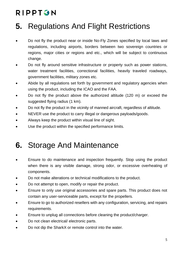#### **5.** Regulations And Flight Restrictions

- Do not fly the product near or inside No-Fly Zones specified by local laws and regulations, including airports, borders between two sovereign countries or regions, major cities or regions and etc., which will be subject to continuous change.
- Do not fly around sensitive infrastructure or property such as power stations, water treatment facilities, correctional facilities, heavily traveled roadways, government facilities, military zones etc.
- Abide by all regulations set forth by government and regulatory agencies when using the product, including the ICAO and the FAA.
- Do not fly the product above the authorized altitude (120 m) or exceed the suggested flying radius (1 km).
- Do not fly the product in the vicinity of manned aircraft, regardless of altitude.
- NEVER use the product to carry illegal or dangerous payloads/goods.
- Always keep the product within visual line of sight.
- Use the product within the specified performance limits.

#### **6.** Storage And Maintenance

- Ensure to do maintenance and inspection frequently. Stop using the product when there is any visible damage, strong odor, or excessive overheating of components.
- Do not make alterations or technical modifications to the product.
- Do not attempt to open, modify or repair the product.
- Ensure to only use original accessories and spare parts. This product does not contain any user-serviceable parts, except for the propellers.
- Ensure to go to authorized resellers with any configuration, servicing, and repairs requirements.
- Ensure to unplug all connections before cleaning the product/charger.
- Do not clean electrical/ electronic parts.
- Do not dip the SharkX or remote control into the water.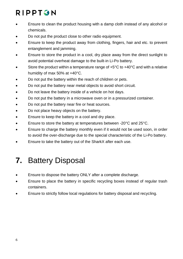- Ensure to clean the product housing with a damp cloth instead of any alcohol or chemicals.
- Do not put the product close to other radio equipment.
- Ensure to keep the product away from clothing, fingers, hair and etc. to prevent entanglement and jamming.
- Ensure to store the product in a cool, dry place away from the direct sunlight to avoid potential overheat damage to the built-in Li-Po battery.
- Store the product within a temperature range of  $+5^{\circ}$ C to  $+40^{\circ}$ C and with a relative humidity of max 50% at +40°C.
- Do not put the battery within the reach of children or pets.
- Do not put the battery near metal objects to avoid short circuit.
- Do not leave the battery inside of a vehicle on hot days.
- Do not put the battery in a microwave oven or in a pressurized container.
- Do not put the battery near fire or heat sources.
- Do not place heavy objects on the battery.
- Ensure to keep the battery in a cool and dry place.
- Ensure to store the battery at temperatures between -20°C and 25°C.
- Ensure to charge the battery monthly even if it would not be used soon, in order to avoid the over-discharge due to the special characteristic of the Li-Po battery.
- Ensure to take the battery out of the SharkX after each use.

#### **7.** Battery Disposal

- Ensure to dispose the battery ONLY after a complete discharge.
- Ensure to place the battery in specific recycling boxes instead of regular trash containers.
- Ensure to strictly follow local regulations for battery disposal and recycling.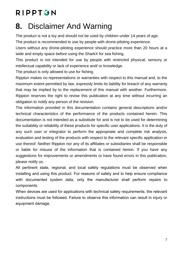#### **8.** Disclaimer And Warning

The product is not a toy and should not be used by children under 14 years of age.

The product is recommended to use by people with drone-piloting experience.

Users without any drone-piloting experience should practice more than 20 hours at a wide and empty space before using the SharkX for sea fishing.

This product is not intended for use by people with restricted physical, sensory or intellectual capability or lack of experience and/ or knowledge.

The product is only allowed to use for fishing.

Rippton makes no representations or warranties with respect to this manual and, to the maximum extent permitted by law, expressly limits its liability for breach of any warranty that may be implied by to the replacement of this manual with another. Furthermore, Rippton reserves the right to revise this publication at any time without incurring an obligation to notify any person of the revision.

The information provided in this documentation contains general descriptions and/or technical characteristics of the performance of the products contained herein. This documentation is not intended as a substitute for and is not to be used for determining the suitability or reliability of these products for specific user applications. It is the duty of any such user or integrator to perform the appropriate and complete risk analysis, evaluation and testing of the products with respect to the relevant specific application or use thereof. Neither Rippton nor any of its affiliates or subsidiaries shall be responsible or liable for misuse of the information that is contained herein. If you have any suggestions for improvements or amendments or have found errors in this publication, please notify us.

All pertinent state, regional, and local safety regulations must be observed when installing and using this product. For reasons of safety and to help ensure compliance with documented system data, only the manufacturer shall perform repairs to components.

When devices are used for applications with technical safety requirements, the relevant instructions must be followed. Failure to observe this information can result in injury or equipment damage.